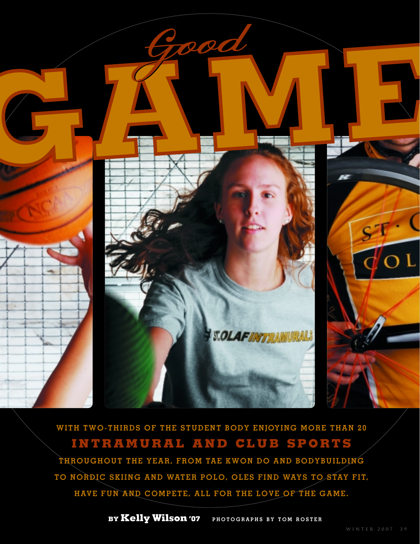

**WITH TWO-THIRDS OF THE STUDENT BODY ENJOYING MORE THAN 20 INTRAMURAL AND CLUB SPORTS THROUGHOUT THE YEAR, FROM TAE KWON DO AND BODYBUILDING** 

**TO NORDIC SKIING AND WATER POLO, OLES FIND WAYS TO STAY FIT, HAVE FUN AND COMPETE, ALL FOR THE LOVE OF THE GAME.**

**BY Kelly Wilson '07 PHOTOGRAPHS BY TOM ROSTER**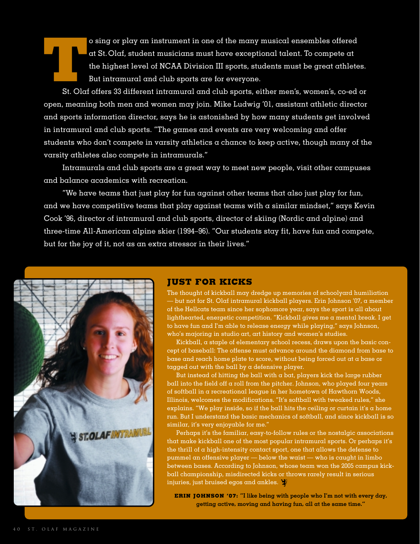Transferred and St. Olaf, student musicians must have exceptional talent. To compete at the highest level of NCAA Division III sports, students must be great athletes.<br>But intramural and club sports are for everyone.<br>St. O at St. Olaf, student musicians must have exceptional talent. To compete at the highest level of NCAA Division III sports, students must be great athletes. But intramural and club sports are for everyone.

open, meaning both men and women may join. Mike Ludwig '01, assistant athletic director and sports information director, says he is astonished by how many students get involved in intramural and club sports. "The games and events are very welcoming and offer students who don't compete in varsity athletics a chance to keep active, though many of the varsity athletes also compete in intramurals."

Intramurals and club sports are a great way to meet new people, visit other campuses and balance academics with recreation.

"We have teams that just play for fun against other teams that also just play for fun, and we have competitive teams that play against teams with a similar mindset," says Kevin Cook '96, director of intramural and club sports, director of skiing (Nordic and alpine) and three-time All-American alpine skier (1994–96). "Our students stay fit, have fun and compete, but for the joy of it, not as an extra stressor in their lives."



### **JUST FOR KICKS**

The thought of kickball may dredge up memories of schoolyard humiliation — but not for St. Olaf intramural kickball players. Erin Johnson '07, a member of the Hellcats team since her sophomore year, says the sport is all about lighthearted, energetic competition. "Kickball gives me a mental break. I get to have fun and I'm able to release energy while playing," says Johnson, who's majoring in studio art, art history and women's studies.

Kickball, a staple of elementary school recess, draws upon the basic concept of baseball: The offense must advance around the diamond from base to base and reach home plate to score, without being forced out at a base or tagged out with the ball by a defensive player.

But instead of hitting the ball with a bat, players kick the large rubber ball into the field off a roll from the pitcher. Johnson, who played four years of softball in a recreational league in her hometown of Hawthorn Woods, Illinois, welcomes the modifications. "It's softball with tweaked rules," she explains. "We play inside, so if the ball hits the ceiling or curtain it's a home run. But I understand the basic mechanics of softball, and since kickball is so similar, it's very enjoyable for me."

Perhaps it's the familiar, easy-to-follow rules or the nostalgic associations that make kickball one of the most popular intramural sports. Or perhaps it's the thrill of a high-intensity contact sport, one that allows the defense to pummel an offensive player — below the waist — who is caught in limbo between bases. According to Johnson, whose team won the 2005 campus kickball championship, misdirected kicks or throws rarely result in serious injuries, just bruised egos and ankles.

**ERIN JOHNSON '07: "I like being with people who I'm not with every day, getting active, moving and having fun, all at the same time."**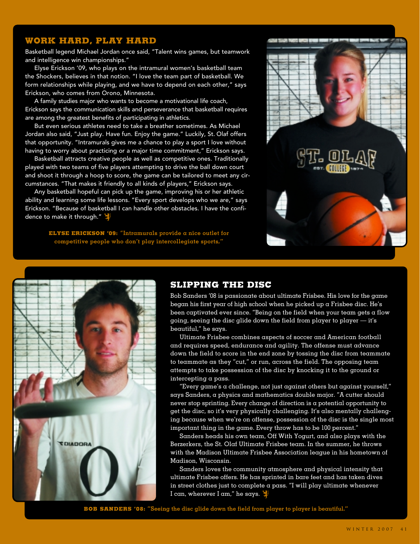# **WORK HARD, PLAY HARD**

Basketball legend Michael Jordan once said, "Talent wins games, but teamwork and intelligence win championships."

Elyse Erickson '09, who plays on the intramural women's basketball team the Shockers, believes in that notion. "I love the team part of basketball. We form relationships while playing, and we have to depend on each other," says Erickson, who comes from Orono, Minnesota.

A family studies major who wants to become a motivational life coach, Erickson says the communication skills and perseverance that basketball requires are among the greatest benefits of participating in athletics.

But even serious athletes need to take a breather sometimes. As Michael Jordan also said, "Just play. Have fun. Enjoy the game." Luckily, St. Olaf offers that opportunity. "Intramurals gives me a chance to play a sport I love without having to worry about practicing or a major time commitment," Erickson says.

Basketball attracts creative people as well as competitive ones. Traditionally played with two teams of five players attempting to drive the ball down court and shoot it through a hoop to score, the game can be tailored to meet any circumstances. "That makes it friendly to all kinds of players," Erickson says.

Any basketball hopeful can pick up the game, improving his or her athletic ability and learning some life lessons. "Every sport develops who we are," says Erickson. "Because of basketball I can handle other obstacles. I have the confidence to make it through."

> **ELYSE ERICKSON '09:** "**Intramurals provide a nice outlet for competitive people who don't play intercollegiate sports,"**





## **SLIPPING THE DISC**

Bob Sanders '08 is passionate about ultimate Frisbee. His love for the game began his first year of high school when he picked up a Frisbee disc. He's been captivated ever since. "Being on the field when your team gets a flow going, seeing the disc glide down the field from player to player  $-$  it's beautiful," he says.

Ultimate Frisbee combines aspects of soccer and American football and requires speed, endurance and agility. The offense must advance down the field to score in the end zone by tossing the disc from teammate to teammate as they "cut," or run, across the field. The opposing team attempts to take possession of the disc by knocking it to the ground or intercepting a pass.

"Every game's a challenge, not just against others but against yourself," says Sanders, a physics and mathematics double major. "A cutter should never stop sprinting. Every change of direction is a potential opportunity to get the disc, so it's very physically challenging. It's also mentally challenging because when we're on offense, possession of the disc is the single most important thing in the game. Every throw has to be 100 percent."

Sanders heads his own team, Off With Yogurt, and also plays with the Berzerkers, the St. Olaf Ultimate Frisbee team. In the summer, he throws with the Madison Ultimate Frisbee Association league in his hometown of Madison, Wisconsin.

Sanders loves the community atmosphere and physical intensity that ultimate Frisbee offers. He has sprinted in bare feet and has taken dives in street clothes just to complete a pass. "I will play ultimate whenever I can, wherever I am," he says.

**BOB SANDERS '08: "Seeing the disc glide down the field from player to player is beautiful."**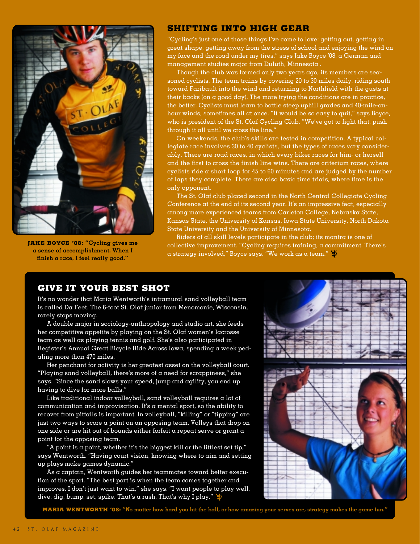

**JAKE BOYCE '08: "Cycling gives me a sense of accomplishment. When I finish a race, I feel really good."**

### **SHIFTING INTO HIGH GEAR**

"Cycling's just one of those things I've come to love: getting out, getting in great shape, getting away from the stress of school and enjoying the wind on my face and the road under my tires," says Jake Boyce '08, a German and management studies major from Duluth, Minnesota .

Though the club was formed only two years ago, its members are seasoned cyclists. The team trains by covering 20 to 30 miles daily, riding south toward Faribault into the wind and returning to Northfield with the gusts at their backs (on a good day). The more trying the conditions are in practice, the better. Cyclists must learn to battle steep uphill grades and 40-mile-anhour winds, sometimes all at once. "It would be so easy to quit," says Boyce, who is president of the St. Olaf Cycling Club. "We've got to fight that, push through it all until we cross the line."

On weekends, the club's skills are tested in competition. A typical collegiate race involves 30 to 40 cyclists, but the types of races vary considerably. There are road races, in which every biker races for him- or herself and the first to cross the finish line wins. There are criterium races, where cyclists ride  $\alpha$  short loop for 45 to 60 minutes and are judged by the number of laps they complete. There are also basic time trials, where time is the only opponent.

The St. Olaf club placed second in the North Central Collegiate Cycling Conference at the end of its second year. It's an impressive feat, especially among more experienced teams from Carleton College, Nebraska State, Kansas State, the University of Kansas, Iowa State University, North Dakota State University and the University of Minnesota.

Riders of all skill levels participate in the club; its mantra is one of collective improvement. "Cycling requires training, a commitment. There's a strategy involved," Boyce says. "We work as a team."

## **GIVE IT YOUR BEST SHOT**

It's no wonder that Maria Wentworth's intramural sand volleyball team is called Da Feet. The 6-foot St. Olaf junior from Menomonie, Wisconsin, rarely stops moving.

A double major in sociology-anthropology and studio art, she feeds her competitive appetite by playing on the St. Olaf women's lacrosse team as well as playing tennis and golf. She's also participated in Register's Annual Great Bicycle Ride Across Iowa, spending a week pedaling more than 470 miles.

Her penchant for activity is her greatest asset on the volleyball court. "Playing sand volleyball, there's more of a need for scrappiness," she says. "Since the sand slows your speed, jump and agility, you end up having to dive for more balls."

Like traditional indoor volleyball, sand volleyball requires a lot of communication and improvisation. It's a mental sport, so the ability to recover from pitfalls is important. In volleyball, "killing" or "tipping" are just two ways to score a point on an opposing team. Volleys that drop on one side or are hit out of bounds either forfeit a repeat serve or grant a point for the opposing team.

"A point is a point, whether it's the biggest kill or the littlest set tip," says Wentworth. "Having court vision, knowing where to aim and setting up plays make games dynamic."

As a captain, Wentworth guides her teammates toward better execution of the sport. "The best part is when the team comes together and improves. I don't just want to win," she says. "I want people to play well, dive, dig, bump, set, spike. That's a rush. That's why I play."



**MARIA WENTWORTH '08: "No matter how hard you hit the ball, or how amazing your serves are, strategy makes the game fun."**